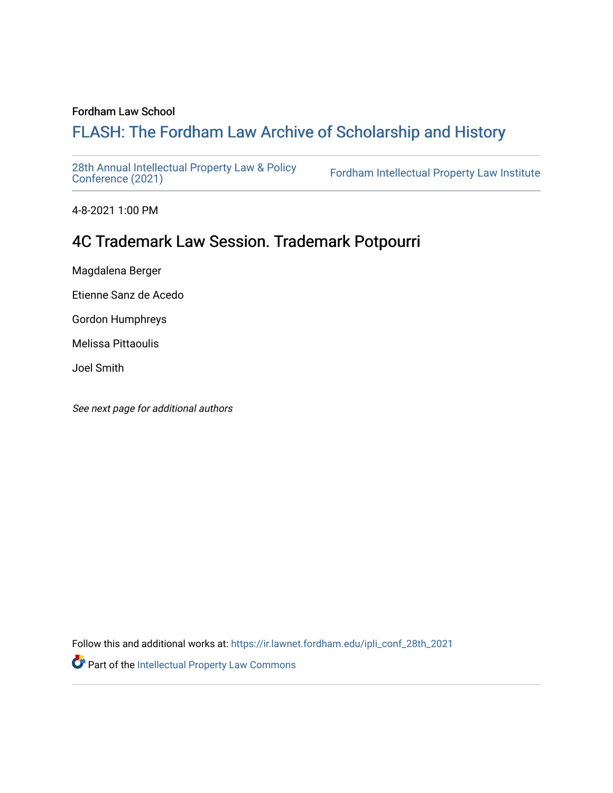# Fordham Law School

# FLASH: The For[dham Law Archive of Scholarship and Hist](https://ir.lawnet.fordham.edu/)ory

[28th Annual Intellectual Property Law & Policy](https://ir.lawnet.fordham.edu/ipli_conf_28th_2021)<br>Conference (2021)

Fordham Intellectual Property Law Institute

4-8-2021 1:00 PM

# 4C Trademark Law Session. Trademark Potpourri

Magdalena Berger

Etienne Sanz de Acedo

Gordon Humphreys

Melissa Pittaoulis

Joel Smith

See next page for additional authors

Follow this and additional works at: [https://ir.lawnet.fordham.edu/ipli\\_conf\\_28th\\_2021](https://ir.lawnet.fordham.edu/ipli_conf_28th_2021?utm_source=ir.lawnet.fordham.edu%2Fipli_conf_28th_2021%2F12&utm_medium=PDF&utm_campaign=PDFCoverPages) 

Part of the [Intellectual Property Law Commons](http://network.bepress.com/hgg/discipline/896?utm_source=ir.lawnet.fordham.edu%2Fipli_conf_28th_2021%2F12&utm_medium=PDF&utm_campaign=PDFCoverPages)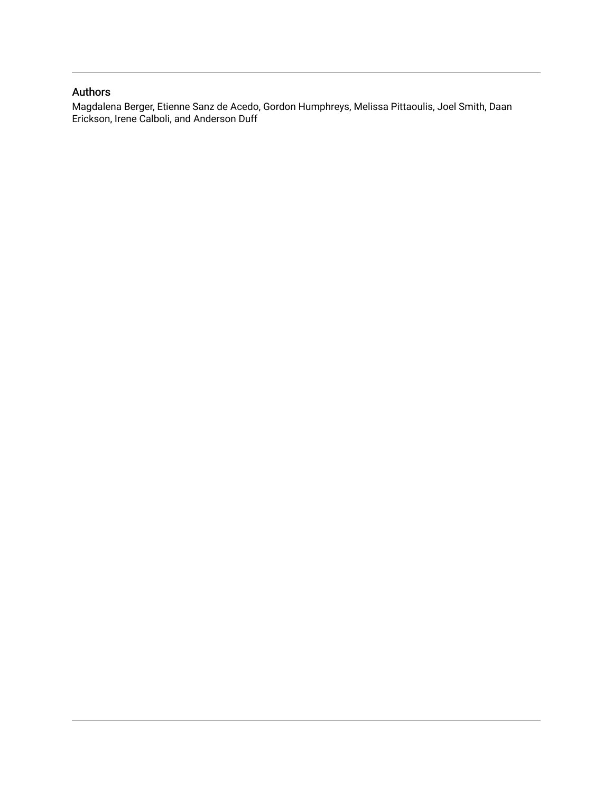# Authors

Magdalena Berger, Etienne Sanz de Acedo, Gordon Humphreys, Melissa Pittaoulis, Joel Smith, Daan Erickson, Irene Calboli, and Anderson Duff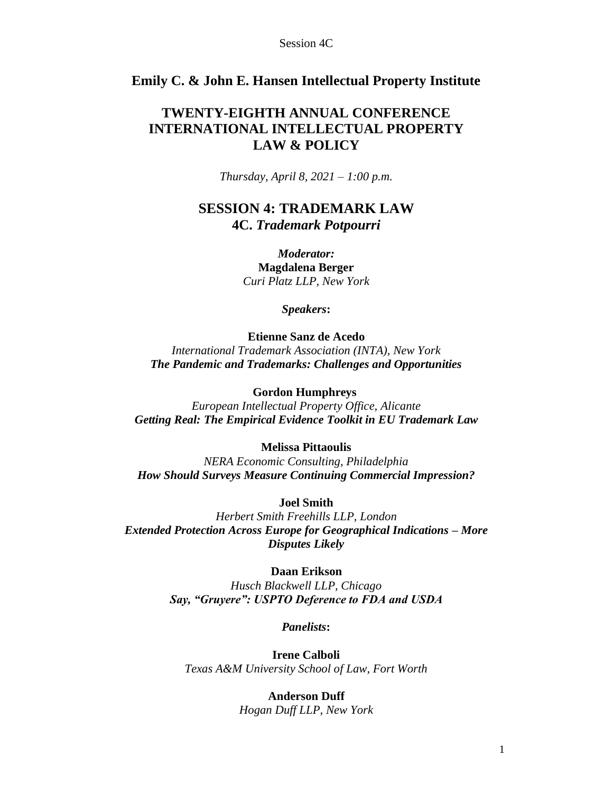# **Emily C. & John E. Hansen Intellectual Property Institute**

# **TWENTY-EIGHTH ANNUAL CONFERENCE INTERNATIONAL INTELLECTUAL PROPERTY LAW & POLICY**

*Thursday, April 8, 2021 – 1:00 p.m.*

# **SESSION 4: TRADEMARK LAW 4C.** *Trademark Potpourri*

*Moderator:* **Magdalena Berger** *Curi Platz LLP, New York*

*Speakers***:**

# **Etienne Sanz de Acedo** *International Trademark Association (INTA), New York The Pandemic and Trademarks: Challenges and Opportunities*

# **Gordon Humphreys**

*European Intellectual Property Office, Alicante Getting Real: The Empirical Evidence Toolkit in EU Trademark Law*

## **Melissa Pittaoulis**

*NERA Economic Consulting, Philadelphia How Should Surveys Measure Continuing Commercial Impression?*

# **Joel Smith**

*Herbert Smith Freehills LLP, London Extended Protection Across Europe for Geographical Indications – More Disputes Likely*

## **Daan Erikson**

*Husch Blackwell LLP, Chicago Say, "Gruyere": USPTO Deference to FDA and USDA*

# *Panelists***:**

**Irene Calboli** *Texas A&M University School of Law, Fort Worth*

# **Anderson Duff** *Hogan Duff LLP, New York*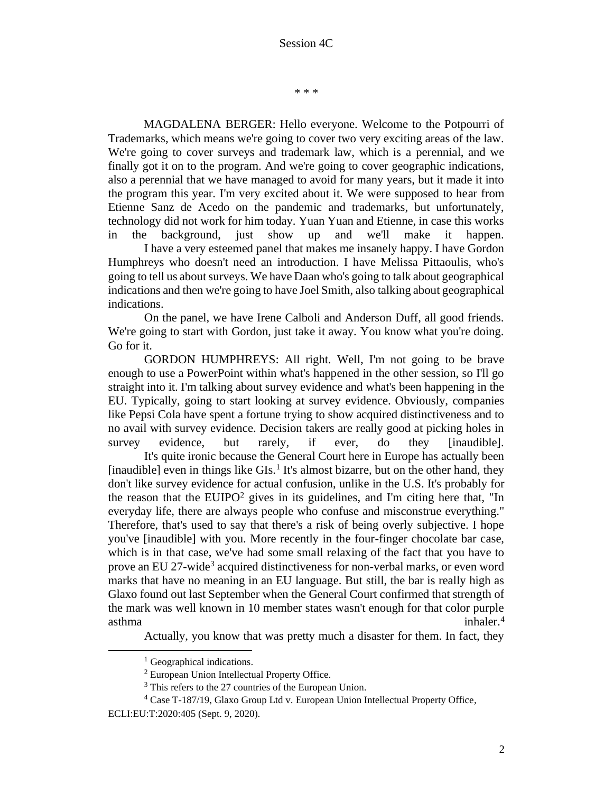\* \* \*

MAGDALENA BERGER: Hello everyone. Welcome to the Potpourri of Trademarks, which means we're going to cover two very exciting areas of the law. We're going to cover surveys and trademark law, which is a perennial, and we finally got it on to the program. And we're going to cover geographic indications, also a perennial that we have managed to avoid for many years, but it made it into the program this year. I'm very excited about it. We were supposed to hear from Etienne Sanz de Acedo on the pandemic and trademarks, but unfortunately, technology did not work for him today. Yuan Yuan and Etienne, in case this works in the background, just show up and we'll make it happen.

I have a very esteemed panel that makes me insanely happy. I have Gordon Humphreys who doesn't need an introduction. I have Melissa Pittaoulis, who's going to tell us about surveys. We have Daan who's going to talk about geographical indications and then we're going to have Joel Smith, also talking about geographical indications.

On the panel, we have Irene Calboli and Anderson Duff, all good friends. We're going to start with Gordon, just take it away. You know what you're doing. Go for it.

GORDON HUMPHREYS: All right. Well, I'm not going to be brave enough to use a PowerPoint within what's happened in the other session, so I'll go straight into it. I'm talking about survey evidence and what's been happening in the EU. Typically, going to start looking at survey evidence. Obviously, companies like Pepsi Cola have spent a fortune trying to show acquired distinctiveness and to no avail with survey evidence. Decision takers are really good at picking holes in survey evidence, but rarely, if ever, do they [inaudible].

It's quite ironic because the General Court here in Europe has actually been [inaudible] even in things like  $GIs<sup>1</sup>$  It's almost bizarre, but on the other hand, they don't like survey evidence for actual confusion, unlike in the U.S. It's probably for the reason that the EUIPO<sup>2</sup> gives in its guidelines, and I'm citing here that, "In everyday life, there are always people who confuse and misconstrue everything." Therefore, that's used to say that there's a risk of being overly subjective. I hope you've [inaudible] with you. More recently in the four-finger chocolate bar case, which is in that case, we've had some small relaxing of the fact that you have to prove an EU 27-wide<sup>3</sup> acquired distinctiveness for non-verbal marks, or even word marks that have no meaning in an EU language. But still, the bar is really high as Glaxo found out last September when the General Court confirmed that strength of the mark was well known in 10 member states wasn't enough for that color purple asthma inhaler.<sup>4</sup>

Actually, you know that was pretty much a disaster for them. In fact, they

 $<sup>1</sup>$  Geographical indications.</sup>

<sup>2</sup> European Union Intellectual Property Office.

<sup>&</sup>lt;sup>3</sup> This refers to the 27 countries of the European Union.

<sup>4</sup> Case T-187/19, Glaxo Group Ltd v. European Union Intellectual Property Office, ECLI:EU:T:2020:405 (Sept. 9, 2020).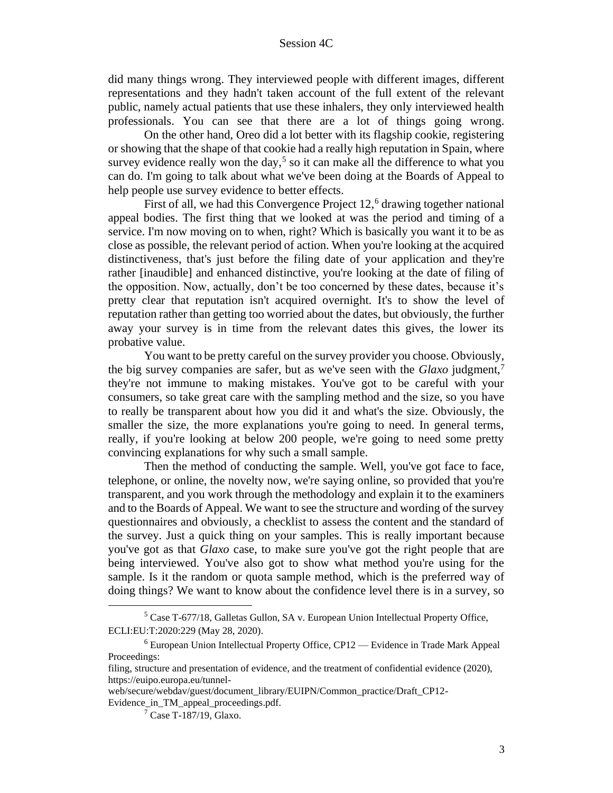did many things wrong. They interviewed people with different images, different representations and they hadn't taken account of the full extent of the relevant public, namely actual patients that use these inhalers, they only interviewed health professionals. You can see that there are a lot of things going wrong.

On the other hand, Oreo did a lot better with its flagship cookie, registering or showing that the shape of that cookie had a really high reputation in Spain, where survey evidence really won the day,<sup>5</sup> so it can make all the difference to what you can do. I'm going to talk about what we've been doing at the Boards of Appeal to help people use survey evidence to better effects.

First of all, we had this Convergence Project  $12<sup>6</sup>$  drawing together national appeal bodies. The first thing that we looked at was the period and timing of a service. I'm now moving on to when, right? Which is basically you want it to be as close as possible, the relevant period of action. When you're looking at the acquired distinctiveness, that's just before the filing date of your application and they're rather [inaudible] and enhanced distinctive, you're looking at the date of filing of the opposition. Now, actually, don't be too concerned by these dates, because it's pretty clear that reputation isn't acquired overnight. It's to show the level of reputation rather than getting too worried about the dates, but obviously, the further away your survey is in time from the relevant dates this gives, the lower its probative value.

You want to be pretty careful on the survey provider you choose. Obviously, the big survey companies are safer, but as we've seen with the *Glaxo* judgment,<sup>7</sup> they're not immune to making mistakes. You've got to be careful with your consumers, so take great care with the sampling method and the size, so you have to really be transparent about how you did it and what's the size. Obviously, the smaller the size, the more explanations you're going to need. In general terms, really, if you're looking at below 200 people, we're going to need some pretty convincing explanations for why such a small sample.

Then the method of conducting the sample. Well, you've got face to face, telephone, or online, the novelty now, we're saying online, so provided that you're transparent, and you work through the methodology and explain it to the examiners and to the Boards of Appeal. We want to see the structure and wording of the survey questionnaires and obviously, a checklist to assess the content and the standard of the survey. Just a quick thing on your samples. This is really important because you've got as that *Glaxo* case, to make sure you've got the right people that are being interviewed. You've also got to show what method you're using for the sample. Is it the random or quota sample method, which is the preferred way of doing things? We want to know about the confidence level there is in a survey, so

<sup>5</sup> Case T-677/18, Galletas Gullon, SA v. European Union Intellectual Property Office, ECLI:EU:T:2020:229 (May 28, 2020).

<sup>6</sup> European Union Intellectual Property Office, CP12 — Evidence in Trade Mark Appeal Proceedings:

filing, structure and presentation of evidence, and the treatment of confidential evidence (2020), https://euipo.europa.eu/tunnel-

web/secure/webdav/guest/document\_library/EUIPN/Common\_practice/Draft\_CP12- Evidence\_in\_TM\_appeal\_proceedings.pdf.

<sup>7</sup> Case T-187/19, Glaxo.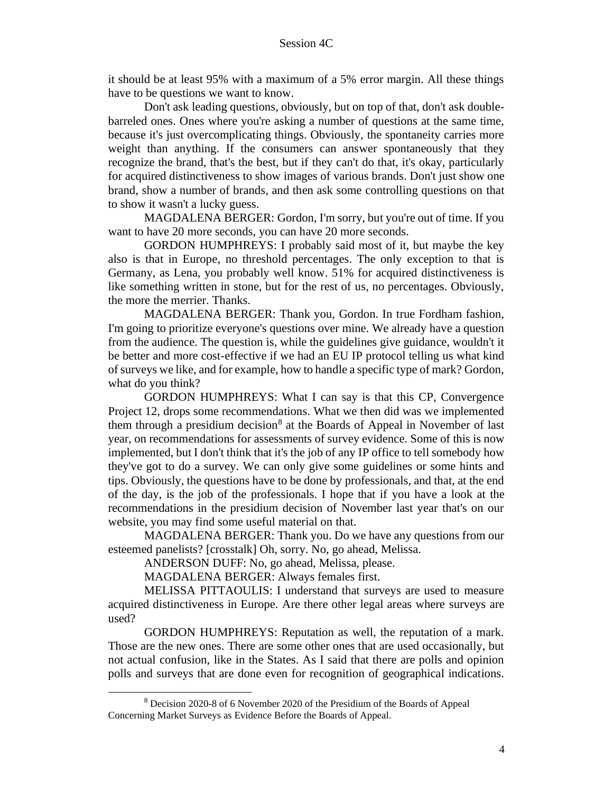it should be at least 95% with a maximum of a 5% error margin. All these things have to be questions we want to know.

Don't ask leading questions, obviously, but on top of that, don't ask doublebarreled ones. Ones where you're asking a number of questions at the same time, because it's just overcomplicating things. Obviously, the spontaneity carries more weight than anything. If the consumers can answer spontaneously that they recognize the brand, that's the best, but if they can't do that, it's okay, particularly for acquired distinctiveness to show images of various brands. Don't just show one brand, show a number of brands, and then ask some controlling questions on that to show it wasn't a lucky guess.

MAGDALENA BERGER: Gordon, I'm sorry, but you're out of time. If you want to have 20 more seconds, you can have 20 more seconds.

GORDON HUMPHREYS: I probably said most of it, but maybe the key also is that in Europe, no threshold percentages. The only exception to that is Germany, as Lena, you probably well know. 51% for acquired distinctiveness is like something written in stone, but for the rest of us, no percentages. Obviously, the more the merrier. Thanks.

MAGDALENA BERGER: Thank you, Gordon. In true Fordham fashion, I'm going to prioritize everyone's questions over mine. We already have a question from the audience. The question is, while the guidelines give guidance, wouldn't it be better and more cost-effective if we had an EU IP protocol telling us what kind of surveys we like, and for example, how to handle a specific type of mark? Gordon, what do you think?

GORDON HUMPHREYS: What I can say is that this CP, Convergence Project 12, drops some recommendations. What we then did was we implemented them through a presidium decision<sup>8</sup> at the Boards of Appeal in November of last year, on recommendations for assessments of survey evidence. Some of this is now implemented, but I don't think that it's the job of any IP office to tell somebody how they've got to do a survey. We can only give some guidelines or some hints and tips. Obviously, the questions have to be done by professionals, and that, at the end of the day, is the job of the professionals. I hope that if you have a look at the recommendations in the presidium decision of November last year that's on our website, you may find some useful material on that.

MAGDALENA BERGER: Thank you. Do we have any questions from our esteemed panelists? [crosstalk] Oh, sorry. No, go ahead, Melissa.

ANDERSON DUFF: No, go ahead, Melissa, please.

MAGDALENA BERGER: Always females first.

MELISSA PITTAOULIS: I understand that surveys are used to measure acquired distinctiveness in Europe. Are there other legal areas where surveys are used?

GORDON HUMPHREYS: Reputation as well, the reputation of a mark. Those are the new ones. There are some other ones that are used occasionally, but not actual confusion, like in the States. As I said that there are polls and opinion polls and surveys that are done even for recognition of geographical indications.

<sup>8</sup> Decision 2020-8 of 6 November 2020 of the Presidium of the Boards of Appeal Concerning Market Surveys as Evidence Before the Boards of Appeal.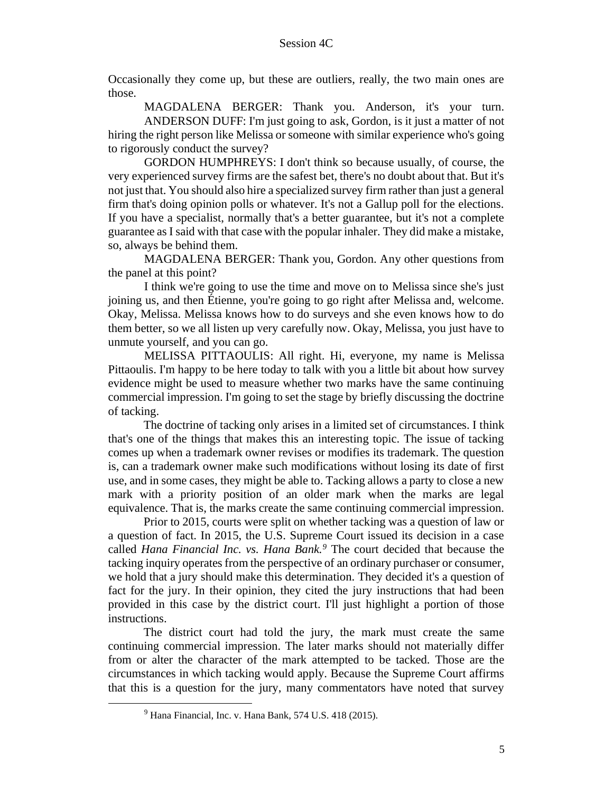Occasionally they come up, but these are outliers, really, the two main ones are those.

MAGDALENA BERGER: Thank you. Anderson, it's your turn. ANDERSON DUFF: I'm just going to ask, Gordon, is it just a matter of not hiring the right person like Melissa or someone with similar experience who's going to rigorously conduct the survey?

GORDON HUMPHREYS: I don't think so because usually, of course, the very experienced survey firms are the safest bet, there's no doubt about that. But it's not just that. You should also hire a specialized survey firm rather than just a general firm that's doing opinion polls or whatever. It's not a Gallup poll for the elections. If you have a specialist, normally that's a better guarantee, but it's not a complete guarantee as I said with that case with the popular inhaler. They did make a mistake, so, always be behind them.

MAGDALENA BERGER: Thank you, Gordon. Any other questions from the panel at this point?

I think we're going to use the time and move on to Melissa since she's just joining us, and then Étienne, you're going to go right after Melissa and, welcome. Okay, Melissa. Melissa knows how to do surveys and she even knows how to do them better, so we all listen up very carefully now. Okay, Melissa, you just have to unmute yourself, and you can go.

MELISSA PITTAOULIS: All right. Hi, everyone, my name is Melissa Pittaoulis. I'm happy to be here today to talk with you a little bit about how survey evidence might be used to measure whether two marks have the same continuing commercial impression. I'm going to set the stage by briefly discussing the doctrine of tacking.

The doctrine of tacking only arises in a limited set of circumstances. I think that's one of the things that makes this an interesting topic. The issue of tacking comes up when a trademark owner revises or modifies its trademark. The question is, can a trademark owner make such modifications without losing its date of first use, and in some cases, they might be able to. Tacking allows a party to close a new mark with a priority position of an older mark when the marks are legal equivalence. That is, the marks create the same continuing commercial impression.

Prior to 2015, courts were split on whether tacking was a question of law or a question of fact. In 2015, the U.S. Supreme Court issued its decision in a case called *Hana Financial Inc. vs. Hana Bank.<sup>9</sup>* The court decided that because the tacking inquiry operates from the perspective of an ordinary purchaser or consumer, we hold that a jury should make this determination. They decided it's a question of fact for the jury. In their opinion, they cited the jury instructions that had been provided in this case by the district court. I'll just highlight a portion of those instructions.

The district court had told the jury, the mark must create the same continuing commercial impression. The later marks should not materially differ from or alter the character of the mark attempted to be tacked. Those are the circumstances in which tacking would apply. Because the Supreme Court affirms that this is a question for the jury, many commentators have noted that survey

 $9$  Hana Financial, Inc. v. Hana Bank, 574 U.S. 418 (2015).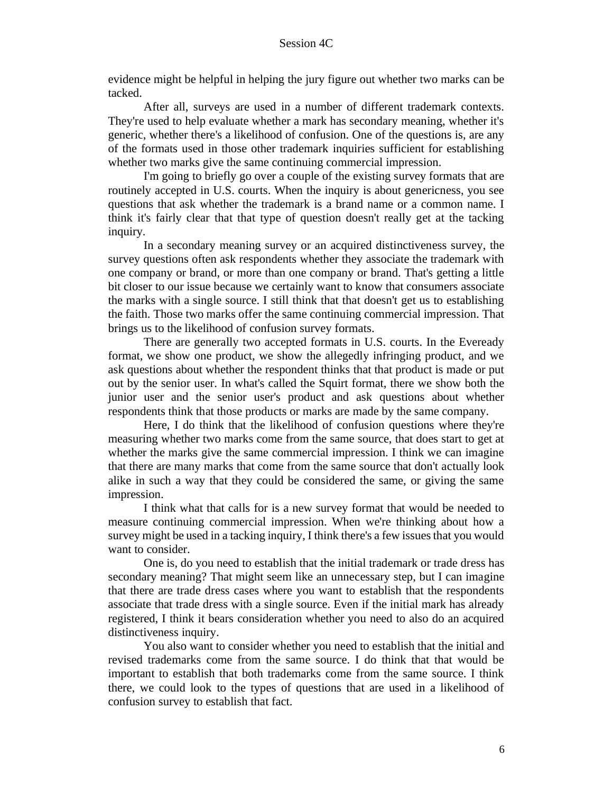evidence might be helpful in helping the jury figure out whether two marks can be tacked.

After all, surveys are used in a number of different trademark contexts. They're used to help evaluate whether a mark has secondary meaning, whether it's generic, whether there's a likelihood of confusion. One of the questions is, are any of the formats used in those other trademark inquiries sufficient for establishing whether two marks give the same continuing commercial impression.

I'm going to briefly go over a couple of the existing survey formats that are routinely accepted in U.S. courts. When the inquiry is about genericness, you see questions that ask whether the trademark is a brand name or a common name. I think it's fairly clear that that type of question doesn't really get at the tacking inquiry.

In a secondary meaning survey or an acquired distinctiveness survey, the survey questions often ask respondents whether they associate the trademark with one company or brand, or more than one company or brand. That's getting a little bit closer to our issue because we certainly want to know that consumers associate the marks with a single source. I still think that that doesn't get us to establishing the faith. Those two marks offer the same continuing commercial impression. That brings us to the likelihood of confusion survey formats.

There are generally two accepted formats in U.S. courts. In the Eveready format, we show one product, we show the allegedly infringing product, and we ask questions about whether the respondent thinks that that product is made or put out by the senior user. In what's called the Squirt format, there we show both the junior user and the senior user's product and ask questions about whether respondents think that those products or marks are made by the same company.

Here, I do think that the likelihood of confusion questions where they're measuring whether two marks come from the same source, that does start to get at whether the marks give the same commercial impression. I think we can imagine that there are many marks that come from the same source that don't actually look alike in such a way that they could be considered the same, or giving the same impression.

I think what that calls for is a new survey format that would be needed to measure continuing commercial impression. When we're thinking about how a survey might be used in a tacking inquiry, I think there's a few issues that you would want to consider.

One is, do you need to establish that the initial trademark or trade dress has secondary meaning? That might seem like an unnecessary step, but I can imagine that there are trade dress cases where you want to establish that the respondents associate that trade dress with a single source. Even if the initial mark has already registered, I think it bears consideration whether you need to also do an acquired distinctiveness inquiry.

You also want to consider whether you need to establish that the initial and revised trademarks come from the same source. I do think that that would be important to establish that both trademarks come from the same source. I think there, we could look to the types of questions that are used in a likelihood of confusion survey to establish that fact.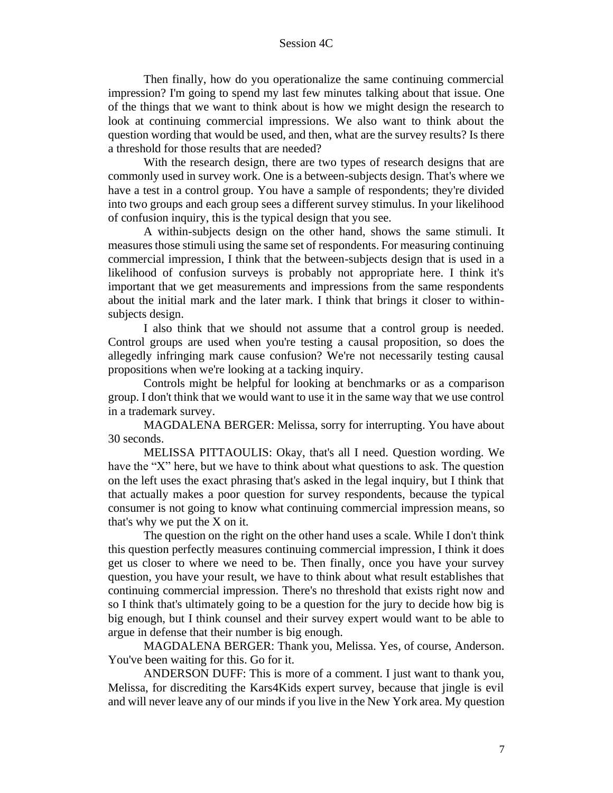Then finally, how do you operationalize the same continuing commercial impression? I'm going to spend my last few minutes talking about that issue. One of the things that we want to think about is how we might design the research to look at continuing commercial impressions. We also want to think about the question wording that would be used, and then, what are the survey results? Is there a threshold for those results that are needed?

With the research design, there are two types of research designs that are commonly used in survey work. One is a between-subjects design. That's where we have a test in a control group. You have a sample of respondents; they're divided into two groups and each group sees a different survey stimulus. In your likelihood of confusion inquiry, this is the typical design that you see.

A within-subjects design on the other hand, shows the same stimuli. It measures those stimuli using the same set of respondents. For measuring continuing commercial impression, I think that the between-subjects design that is used in a likelihood of confusion surveys is probably not appropriate here. I think it's important that we get measurements and impressions from the same respondents about the initial mark and the later mark. I think that brings it closer to withinsubjects design.

I also think that we should not assume that a control group is needed. Control groups are used when you're testing a causal proposition, so does the allegedly infringing mark cause confusion? We're not necessarily testing causal propositions when we're looking at a tacking inquiry.

Controls might be helpful for looking at benchmarks or as a comparison group. I don't think that we would want to use it in the same way that we use control in a trademark survey.

MAGDALENA BERGER: Melissa, sorry for interrupting. You have about 30 seconds.

MELISSA PITTAOULIS: Okay, that's all I need. Question wording. We have the "X" here, but we have to think about what questions to ask. The question on the left uses the exact phrasing that's asked in the legal inquiry, but I think that that actually makes a poor question for survey respondents, because the typical consumer is not going to know what continuing commercial impression means, so that's why we put the X on it.

The question on the right on the other hand uses a scale. While I don't think this question perfectly measures continuing commercial impression, I think it does get us closer to where we need to be. Then finally, once you have your survey question, you have your result, we have to think about what result establishes that continuing commercial impression. There's no threshold that exists right now and so I think that's ultimately going to be a question for the jury to decide how big is big enough, but I think counsel and their survey expert would want to be able to argue in defense that their number is big enough.

MAGDALENA BERGER: Thank you, Melissa. Yes, of course, Anderson. You've been waiting for this. Go for it.

ANDERSON DUFF: This is more of a comment. I just want to thank you, Melissa, for discrediting the Kars4Kids expert survey, because that jingle is evil and will never leave any of our minds if you live in the New York area. My question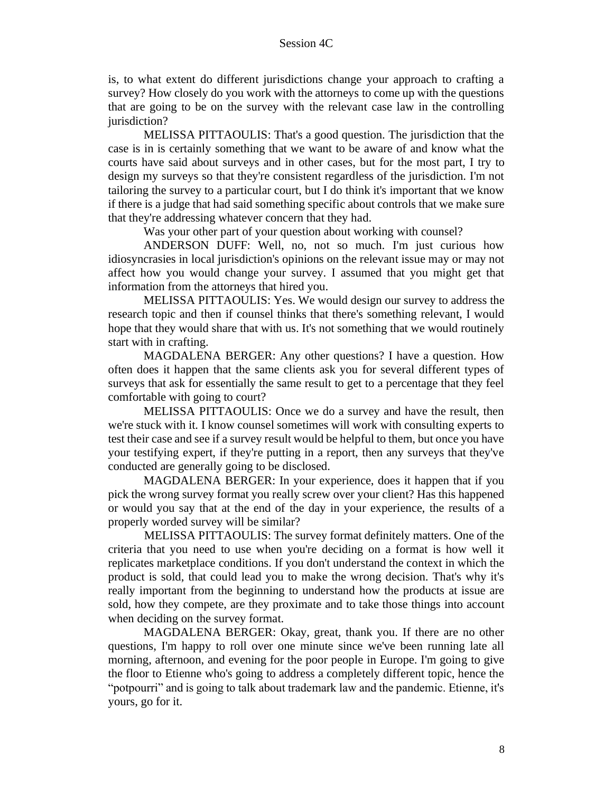is, to what extent do different jurisdictions change your approach to crafting a survey? How closely do you work with the attorneys to come up with the questions that are going to be on the survey with the relevant case law in the controlling jurisdiction?

MELISSA PITTAOULIS: That's a good question. The jurisdiction that the case is in is certainly something that we want to be aware of and know what the courts have said about surveys and in other cases, but for the most part, I try to design my surveys so that they're consistent regardless of the jurisdiction. I'm not tailoring the survey to a particular court, but I do think it's important that we know if there is a judge that had said something specific about controls that we make sure that they're addressing whatever concern that they had.

Was your other part of your question about working with counsel?

ANDERSON DUFF: Well, no, not so much. I'm just curious how idiosyncrasies in local jurisdiction's opinions on the relevant issue may or may not affect how you would change your survey. I assumed that you might get that information from the attorneys that hired you.

MELISSA PITTAOULIS: Yes. We would design our survey to address the research topic and then if counsel thinks that there's something relevant, I would hope that they would share that with us. It's not something that we would routinely start with in crafting.

MAGDALENA BERGER: Any other questions? I have a question. How often does it happen that the same clients ask you for several different types of surveys that ask for essentially the same result to get to a percentage that they feel comfortable with going to court?

MELISSA PITTAOULIS: Once we do a survey and have the result, then we're stuck with it. I know counsel sometimes will work with consulting experts to test their case and see if a survey result would be helpful to them, but once you have your testifying expert, if they're putting in a report, then any surveys that they've conducted are generally going to be disclosed.

MAGDALENA BERGER: In your experience, does it happen that if you pick the wrong survey format you really screw over your client? Has this happened or would you say that at the end of the day in your experience, the results of a properly worded survey will be similar?

MELISSA PITTAOULIS: The survey format definitely matters. One of the criteria that you need to use when you're deciding on a format is how well it replicates marketplace conditions. If you don't understand the context in which the product is sold, that could lead you to make the wrong decision. That's why it's really important from the beginning to understand how the products at issue are sold, how they compete, are they proximate and to take those things into account when deciding on the survey format.

MAGDALENA BERGER: Okay, great, thank you. If there are no other questions, I'm happy to roll over one minute since we've been running late all morning, afternoon, and evening for the poor people in Europe. I'm going to give the floor to Etienne who's going to address a completely different topic, hence the "potpourri" and is going to talk about trademark law and the pandemic. Etienne, it's yours, go for it.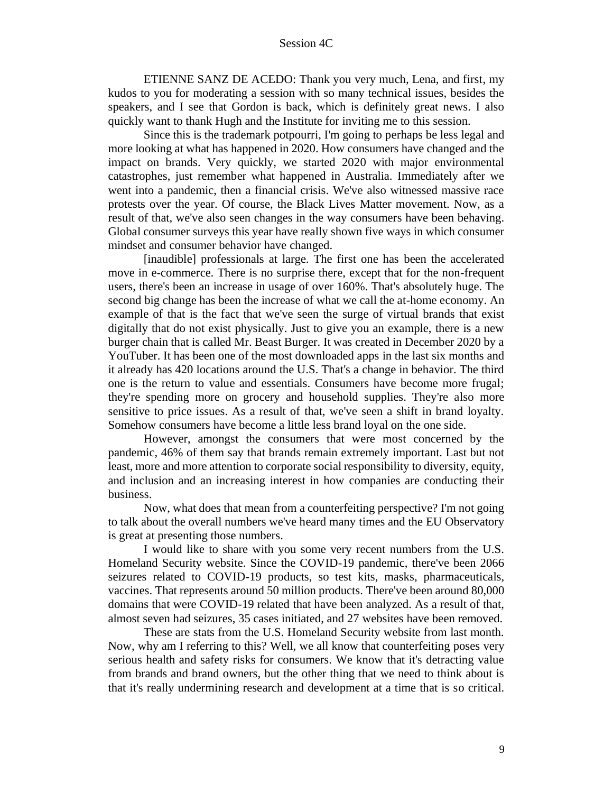ETIENNE SANZ DE ACEDO: Thank you very much, Lena, and first, my kudos to you for moderating a session with so many technical issues, besides the speakers, and I see that Gordon is back, which is definitely great news. I also quickly want to thank Hugh and the Institute for inviting me to this session.

Since this is the trademark potpourri, I'm going to perhaps be less legal and more looking at what has happened in 2020. How consumers have changed and the impact on brands. Very quickly, we started 2020 with major environmental catastrophes, just remember what happened in Australia. Immediately after we went into a pandemic, then a financial crisis. We've also witnessed massive race protests over the year. Of course, the Black Lives Matter movement. Now, as a result of that, we've also seen changes in the way consumers have been behaving. Global consumer surveys this year have really shown five ways in which consumer mindset and consumer behavior have changed.

[inaudible] professionals at large. The first one has been the accelerated move in e-commerce. There is no surprise there, except that for the non-frequent users, there's been an increase in usage of over 160%. That's absolutely huge. The second big change has been the increase of what we call the at-home economy. An example of that is the fact that we've seen the surge of virtual brands that exist digitally that do not exist physically. Just to give you an example, there is a new burger chain that is called Mr. Beast Burger. It was created in December 2020 by a YouTuber. It has been one of the most downloaded apps in the last six months and it already has 420 locations around the U.S. That's a change in behavior. The third one is the return to value and essentials. Consumers have become more frugal; they're spending more on grocery and household supplies. They're also more sensitive to price issues. As a result of that, we've seen a shift in brand loyalty. Somehow consumers have become a little less brand loyal on the one side.

However, amongst the consumers that were most concerned by the pandemic, 46% of them say that brands remain extremely important. Last but not least, more and more attention to corporate social responsibility to diversity, equity, and inclusion and an increasing interest in how companies are conducting their business.

Now, what does that mean from a counterfeiting perspective? I'm not going to talk about the overall numbers we've heard many times and the EU Observatory is great at presenting those numbers.

I would like to share with you some very recent numbers from the U.S. Homeland Security website. Since the COVID-19 pandemic, there've been 2066 seizures related to COVID-19 products, so test kits, masks, pharmaceuticals, vaccines. That represents around 50 million products. There've been around 80,000 domains that were COVID-19 related that have been analyzed. As a result of that, almost seven had seizures, 35 cases initiated, and 27 websites have been removed.

These are stats from the U.S. Homeland Security website from last month. Now, why am I referring to this? Well, we all know that counterfeiting poses very serious health and safety risks for consumers. We know that it's detracting value from brands and brand owners, but the other thing that we need to think about is that it's really undermining research and development at a time that is so critical.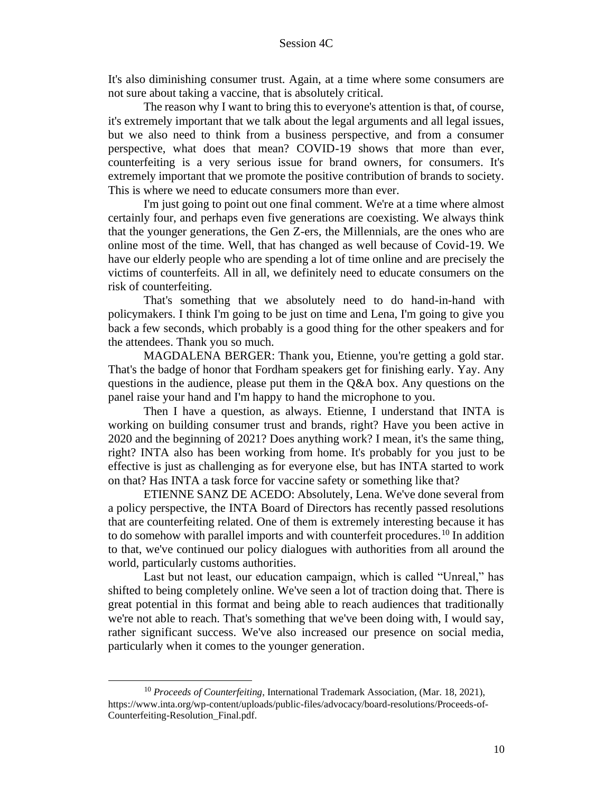It's also diminishing consumer trust. Again, at a time where some consumers are not sure about taking a vaccine, that is absolutely critical.

The reason why I want to bring this to everyone's attention is that, of course, it's extremely important that we talk about the legal arguments and all legal issues, but we also need to think from a business perspective, and from a consumer perspective, what does that mean? COVID-19 shows that more than ever, counterfeiting is a very serious issue for brand owners, for consumers. It's extremely important that we promote the positive contribution of brands to society. This is where we need to educate consumers more than ever.

I'm just going to point out one final comment. We're at a time where almost certainly four, and perhaps even five generations are coexisting. We always think that the younger generations, the Gen Z-ers, the Millennials, are the ones who are online most of the time. Well, that has changed as well because of Covid-19. We have our elderly people who are spending a lot of time online and are precisely the victims of counterfeits. All in all, we definitely need to educate consumers on the risk of counterfeiting.

That's something that we absolutely need to do hand-in-hand with policymakers. I think I'm going to be just on time and Lena, I'm going to give you back a few seconds, which probably is a good thing for the other speakers and for the attendees. Thank you so much.

MAGDALENA BERGER: Thank you, Etienne, you're getting a gold star. That's the badge of honor that Fordham speakers get for finishing early. Yay. Any questions in the audience, please put them in the  $Q&A$  box. Any questions on the panel raise your hand and I'm happy to hand the microphone to you.

Then I have a question, as always. Etienne, I understand that INTA is working on building consumer trust and brands, right? Have you been active in 2020 and the beginning of 2021? Does anything work? I mean, it's the same thing, right? INTA also has been working from home. It's probably for you just to be effective is just as challenging as for everyone else, but has INTA started to work on that? Has INTA a task force for vaccine safety or something like that?

ETIENNE SANZ DE ACEDO: Absolutely, Lena. We've done several from a policy perspective, the INTA Board of Directors has recently passed resolutions that are counterfeiting related. One of them is extremely interesting because it has to do somehow with parallel imports and with counterfeit procedures.<sup>10</sup> In addition to that, we've continued our policy dialogues with authorities from all around the world, particularly customs authorities.

Last but not least, our education campaign, which is called "Unreal," has shifted to being completely online. We've seen a lot of traction doing that. There is great potential in this format and being able to reach audiences that traditionally we're not able to reach. That's something that we've been doing with, I would say, rather significant success. We've also increased our presence on social media, particularly when it comes to the younger generation.

<sup>10</sup> *Proceeds of Counterfeiting*, International Trademark Association, (Mar. 18, 2021), https://www.inta.org/wp-content/uploads/public-files/advocacy/board-resolutions/Proceeds-of-Counterfeiting-Resolution\_Final.pdf.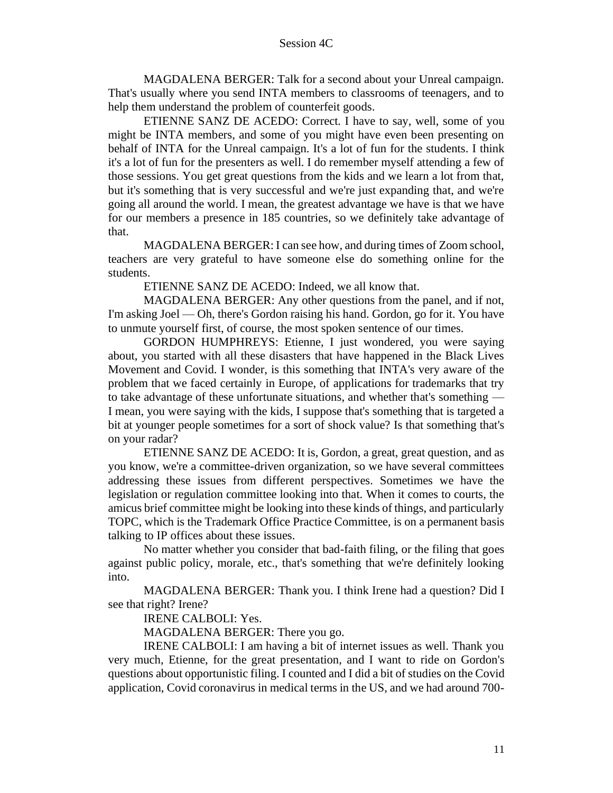MAGDALENA BERGER: Talk for a second about your Unreal campaign. That's usually where you send INTA members to classrooms of teenagers, and to help them understand the problem of counterfeit goods.

ETIENNE SANZ DE ACEDO: Correct. I have to say, well, some of you might be INTA members, and some of you might have even been presenting on behalf of INTA for the Unreal campaign. It's a lot of fun for the students. I think it's a lot of fun for the presenters as well. I do remember myself attending a few of those sessions. You get great questions from the kids and we learn a lot from that, but it's something that is very successful and we're just expanding that, and we're going all around the world. I mean, the greatest advantage we have is that we have for our members a presence in 185 countries, so we definitely take advantage of that.

MAGDALENA BERGER: I can see how, and during times of Zoom school, teachers are very grateful to have someone else do something online for the students.

ETIENNE SANZ DE ACEDO: Indeed, we all know that.

MAGDALENA BERGER: Any other questions from the panel, and if not, I'm asking Joel — Oh, there's Gordon raising his hand. Gordon, go for it. You have to unmute yourself first, of course, the most spoken sentence of our times.

GORDON HUMPHREYS: Etienne, I just wondered, you were saying about, you started with all these disasters that have happened in the Black Lives Movement and Covid. I wonder, is this something that INTA's very aware of the problem that we faced certainly in Europe, of applications for trademarks that try to take advantage of these unfortunate situations, and whether that's something — I mean, you were saying with the kids, I suppose that's something that is targeted a bit at younger people sometimes for a sort of shock value? Is that something that's on your radar?

ETIENNE SANZ DE ACEDO: It is, Gordon, a great, great question, and as you know, we're a committee-driven organization, so we have several committees addressing these issues from different perspectives. Sometimes we have the legislation or regulation committee looking into that. When it comes to courts, the amicus brief committee might be looking into these kinds of things, and particularly TOPC, which is the Trademark Office Practice Committee, is on a permanent basis talking to IP offices about these issues.

No matter whether you consider that bad-faith filing, or the filing that goes against public policy, morale, etc., that's something that we're definitely looking into.

MAGDALENA BERGER: Thank you. I think Irene had a question? Did I see that right? Irene?

IRENE CALBOLI: Yes.

MAGDALENA BERGER: There you go.

IRENE CALBOLI: I am having a bit of internet issues as well. Thank you very much, Etienne, for the great presentation, and I want to ride on Gordon's questions about opportunistic filing. I counted and I did a bit of studies on the Covid application, Covid coronavirus in medical terms in the US, and we had around 700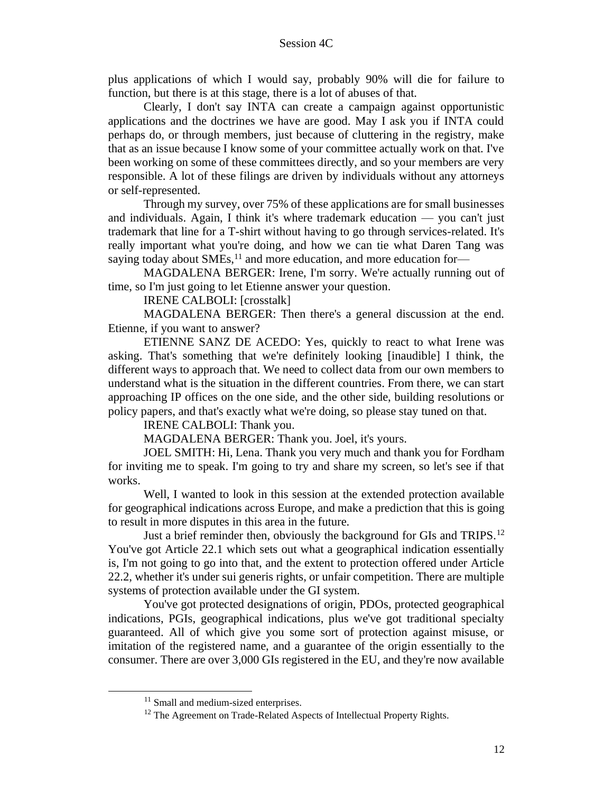plus applications of which I would say, probably 90% will die for failure to function, but there is at this stage, there is a lot of abuses of that.

Clearly, I don't say INTA can create a campaign against opportunistic applications and the doctrines we have are good. May I ask you if INTA could perhaps do, or through members, just because of cluttering in the registry, make that as an issue because I know some of your committee actually work on that. I've been working on some of these committees directly, and so your members are very responsible. A lot of these filings are driven by individuals without any attorneys or self-represented.

Through my survey, over 75% of these applications are for small businesses and individuals. Again, I think it's where trademark education — you can't just trademark that line for a T-shirt without having to go through services-related. It's really important what you're doing, and how we can tie what Daren Tang was saying today about  $SMEs$ ,<sup>11</sup> and more education, and more education for—

MAGDALENA BERGER: Irene, I'm sorry. We're actually running out of time, so I'm just going to let Etienne answer your question.

IRENE CALBOLI: [crosstalk]

MAGDALENA BERGER: Then there's a general discussion at the end. Etienne, if you want to answer?

ETIENNE SANZ DE ACEDO: Yes, quickly to react to what Irene was asking. That's something that we're definitely looking [inaudible] I think, the different ways to approach that. We need to collect data from our own members to understand what is the situation in the different countries. From there, we can start approaching IP offices on the one side, and the other side, building resolutions or policy papers, and that's exactly what we're doing, so please stay tuned on that.

IRENE CALBOLI: Thank you.

MAGDALENA BERGER: Thank you. Joel, it's yours.

JOEL SMITH: Hi, Lena. Thank you very much and thank you for Fordham for inviting me to speak. I'm going to try and share my screen, so let's see if that works.

Well, I wanted to look in this session at the extended protection available for geographical indications across Europe, and make a prediction that this is going to result in more disputes in this area in the future.

Just a brief reminder then, obviously the background for GIs and TRIPS.<sup>12</sup> You've got Article 22.1 which sets out what a geographical indication essentially is, I'm not going to go into that, and the extent to protection offered under Article 22.2, whether it's under sui generis rights, or unfair competition. There are multiple systems of protection available under the GI system.

You've got protected designations of origin, PDOs, protected geographical indications, PGIs, geographical indications, plus we've got traditional specialty guaranteed. All of which give you some sort of protection against misuse, or imitation of the registered name, and a guarantee of the origin essentially to the consumer. There are over 3,000 GIs registered in the EU, and they're now available

<sup>&</sup>lt;sup>11</sup> Small and medium-sized enterprises.

<sup>&</sup>lt;sup>12</sup> The Agreement on Trade-Related Aspects of Intellectual Property Rights.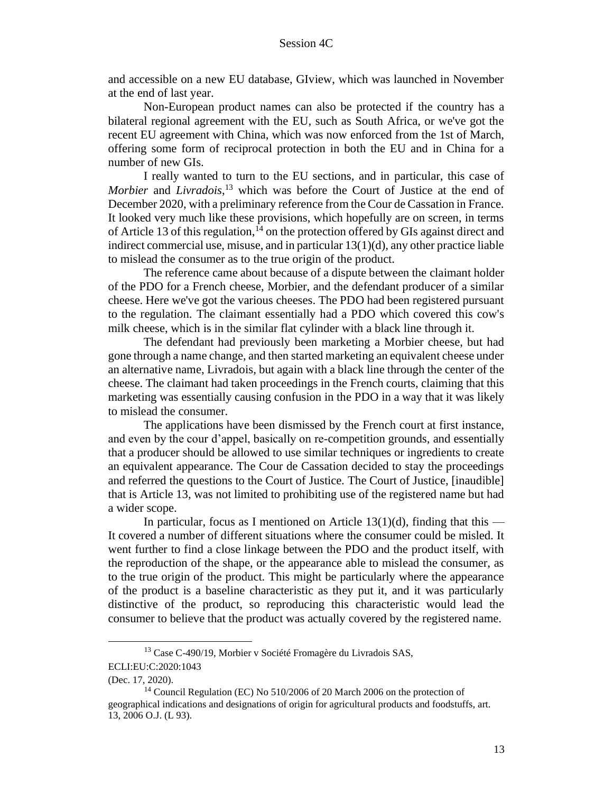and accessible on a new EU database, GIview, which was launched in November at the end of last year.

Non-European product names can also be protected if the country has a bilateral regional agreement with the EU, such as South Africa, or we've got the recent EU agreement with China, which was now enforced from the 1st of March, offering some form of reciprocal protection in both the EU and in China for a number of new GIs.

I really wanted to turn to the EU sections, and in particular, this case of *Morbier* and *Livradois*, <sup>13</sup> which was before the Court of Justice at the end of December 2020, with a preliminary reference from the Cour de Cassation in France. It looked very much like these provisions, which hopefully are on screen, in terms of Article 13 of this regulation,  $14$  on the protection offered by GIs against direct and indirect commercial use, misuse, and in particular 13(1)(d), any other practice liable to mislead the consumer as to the true origin of the product.

The reference came about because of a dispute between the claimant holder of the PDO for a French cheese, Morbier, and the defendant producer of a similar cheese. Here we've got the various cheeses. The PDO had been registered pursuant to the regulation. The claimant essentially had a PDO which covered this cow's milk cheese, which is in the similar flat cylinder with a black line through it.

The defendant had previously been marketing a Morbier cheese, but had gone through a name change, and then started marketing an equivalent cheese under an alternative name, Livradois, but again with a black line through the center of the cheese. The claimant had taken proceedings in the French courts, claiming that this marketing was essentially causing confusion in the PDO in a way that it was likely to mislead the consumer.

The applications have been dismissed by the French court at first instance, and even by the cour d'appel, basically on re-competition grounds, and essentially that a producer should be allowed to use similar techniques or ingredients to create an equivalent appearance. The Cour de Cassation decided to stay the proceedings and referred the questions to the Court of Justice. The Court of Justice, [inaudible] that is Article 13, was not limited to prohibiting use of the registered name but had a wider scope.

In particular, focus as I mentioned on Article 13(1)(d), finding that this — It covered a number of different situations where the consumer could be misled. It went further to find a close linkage between the PDO and the product itself, with the reproduction of the shape, or the appearance able to mislead the consumer, as to the true origin of the product. This might be particularly where the appearance of the product is a baseline characteristic as they put it, and it was particularly distinctive of the product, so reproducing this characteristic would lead the consumer to believe that the product was actually covered by the registered name.

<sup>&</sup>lt;sup>13</sup> Case C-490/19, Morbier v Société Fromagère du Livradois SAS,

ECLI:EU:C:2020:1043

<sup>(</sup>Dec. 17, 2020).

<sup>&</sup>lt;sup>14</sup> Council Regulation (EC) No 510/2006 of 20 March 2006 on the protection of geographical indications and designations of origin for agricultural products and foodstuffs, art. 13, 2006 O.J. (L 93).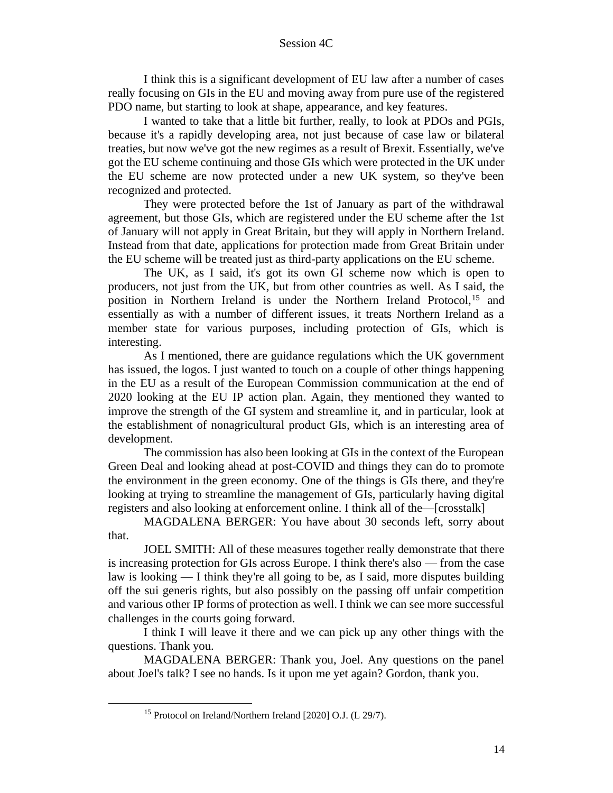I think this is a significant development of EU law after a number of cases really focusing on GIs in the EU and moving away from pure use of the registered PDO name, but starting to look at shape, appearance, and key features.

I wanted to take that a little bit further, really, to look at PDOs and PGIs, because it's a rapidly developing area, not just because of case law or bilateral treaties, but now we've got the new regimes as a result of Brexit. Essentially, we've got the EU scheme continuing and those GIs which were protected in the UK under the EU scheme are now protected under a new UK system, so they've been recognized and protected.

They were protected before the 1st of January as part of the withdrawal agreement, but those GIs, which are registered under the EU scheme after the 1st of January will not apply in Great Britain, but they will apply in Northern Ireland. Instead from that date, applications for protection made from Great Britain under the EU scheme will be treated just as third-party applications on the EU scheme.

The UK, as I said, it's got its own GI scheme now which is open to producers, not just from the UK, but from other countries as well. As I said, the position in Northern Ireland is under the Northern Ireland Protocol,<sup>15</sup> and essentially as with a number of different issues, it treats Northern Ireland as a member state for various purposes, including protection of GIs, which is interesting.

As I mentioned, there are guidance regulations which the UK government has issued, the logos. I just wanted to touch on a couple of other things happening in the EU as a result of the European Commission communication at the end of 2020 looking at the EU IP action plan. Again, they mentioned they wanted to improve the strength of the GI system and streamline it, and in particular, look at the establishment of nonagricultural product GIs, which is an interesting area of development.

The commission has also been looking at GIs in the context of the European Green Deal and looking ahead at post-COVID and things they can do to promote the environment in the green economy. One of the things is GIs there, and they're looking at trying to streamline the management of GIs, particularly having digital registers and also looking at enforcement online. I think all of the—[crosstalk]

MAGDALENA BERGER: You have about 30 seconds left, sorry about that.

JOEL SMITH: All of these measures together really demonstrate that there is increasing protection for GIs across Europe. I think there's also — from the case law is looking — I think they're all going to be, as I said, more disputes building off the sui generis rights, but also possibly on the passing off unfair competition and various other IP forms of protection as well. I think we can see more successful challenges in the courts going forward.

I think I will leave it there and we can pick up any other things with the questions. Thank you.

MAGDALENA BERGER: Thank you, Joel. Any questions on the panel about Joel's talk? I see no hands. Is it upon me yet again? Gordon, thank you.

<sup>15</sup> Protocol on Ireland/Northern Ireland [2020] O.J. (L 29/7).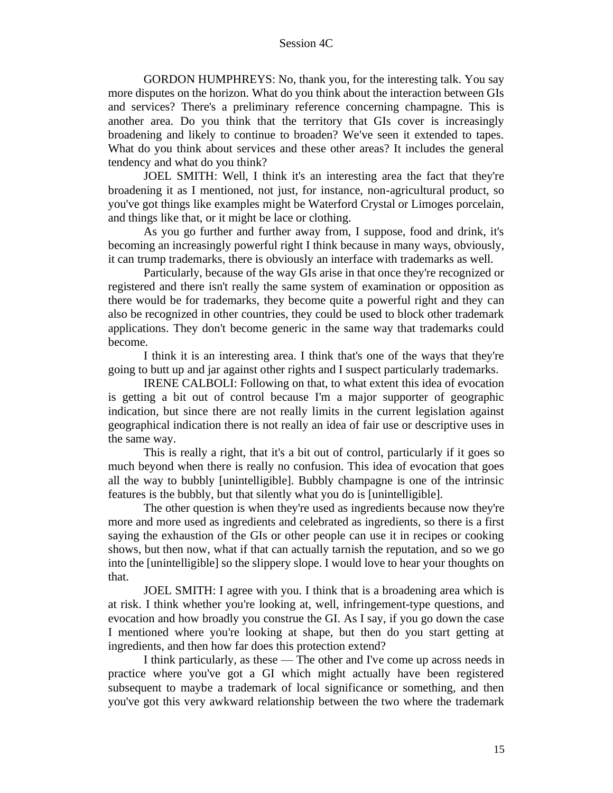GORDON HUMPHREYS: No, thank you, for the interesting talk. You say more disputes on the horizon. What do you think about the interaction between GIs and services? There's a preliminary reference concerning champagne. This is another area. Do you think that the territory that GIs cover is increasingly broadening and likely to continue to broaden? We've seen it extended to tapes. What do you think about services and these other areas? It includes the general tendency and what do you think?

JOEL SMITH: Well, I think it's an interesting area the fact that they're broadening it as I mentioned, not just, for instance, non-agricultural product, so you've got things like examples might be Waterford Crystal or Limoges porcelain, and things like that, or it might be lace or clothing.

As you go further and further away from, I suppose, food and drink, it's becoming an increasingly powerful right I think because in many ways, obviously, it can trump trademarks, there is obviously an interface with trademarks as well.

Particularly, because of the way GIs arise in that once they're recognized or registered and there isn't really the same system of examination or opposition as there would be for trademarks, they become quite a powerful right and they can also be recognized in other countries, they could be used to block other trademark applications. They don't become generic in the same way that trademarks could become.

I think it is an interesting area. I think that's one of the ways that they're going to butt up and jar against other rights and I suspect particularly trademarks.

IRENE CALBOLI: Following on that, to what extent this idea of evocation is getting a bit out of control because I'm a major supporter of geographic indication, but since there are not really limits in the current legislation against geographical indication there is not really an idea of fair use or descriptive uses in the same way.

This is really a right, that it's a bit out of control, particularly if it goes so much beyond when there is really no confusion. This idea of evocation that goes all the way to bubbly [unintelligible]. Bubbly champagne is one of the intrinsic features is the bubbly, but that silently what you do is [unintelligible].

The other question is when they're used as ingredients because now they're more and more used as ingredients and celebrated as ingredients, so there is a first saying the exhaustion of the GIs or other people can use it in recipes or cooking shows, but then now, what if that can actually tarnish the reputation, and so we go into the [unintelligible] so the slippery slope. I would love to hear your thoughts on that.

JOEL SMITH: I agree with you. I think that is a broadening area which is at risk. I think whether you're looking at, well, infringement-type questions, and evocation and how broadly you construe the GI. As I say, if you go down the case I mentioned where you're looking at shape, but then do you start getting at ingredients, and then how far does this protection extend?

I think particularly, as these — The other and I've come up across needs in practice where you've got a GI which might actually have been registered subsequent to maybe a trademark of local significance or something, and then you've got this very awkward relationship between the two where the trademark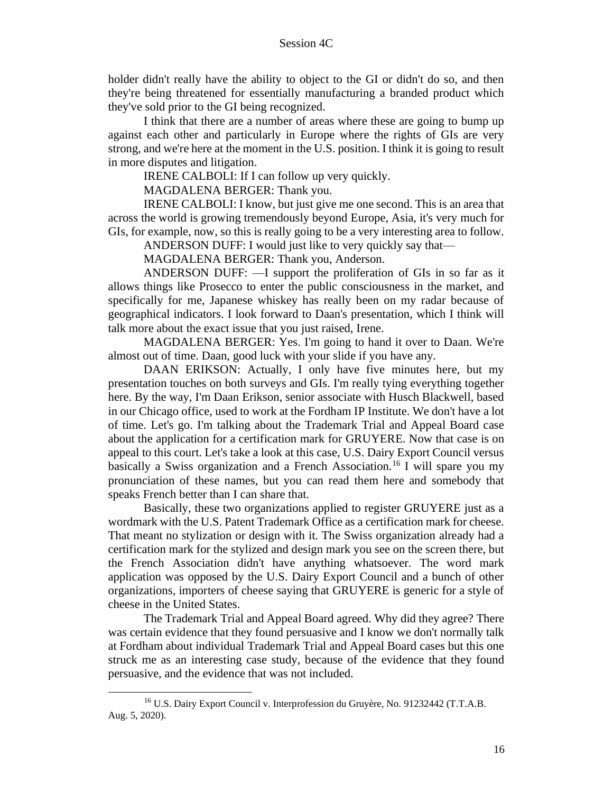holder didn't really have the ability to object to the GI or didn't do so, and then they're being threatened for essentially manufacturing a branded product which they've sold prior to the GI being recognized.

I think that there are a number of areas where these are going to bump up against each other and particularly in Europe where the rights of GIs are very strong, and we're here at the moment in the U.S. position. I think it is going to result in more disputes and litigation.

IRENE CALBOLI: If I can follow up very quickly.

MAGDALENA BERGER: Thank you.

IRENE CALBOLI: I know, but just give me one second. This is an area that across the world is growing tremendously beyond Europe, Asia, it's very much for GIs, for example, now, so this is really going to be a very interesting area to follow.

ANDERSON DUFF: I would just like to very quickly say that—

MAGDALENA BERGER: Thank you, Anderson.

ANDERSON DUFF: —I support the proliferation of GIs in so far as it allows things like Prosecco to enter the public consciousness in the market, and specifically for me, Japanese whiskey has really been on my radar because of geographical indicators. I look forward to Daan's presentation, which I think will talk more about the exact issue that you just raised, Irene.

MAGDALENA BERGER: Yes. I'm going to hand it over to Daan. We're almost out of time. Daan, good luck with your slide if you have any.

DAAN ERIKSON: Actually, I only have five minutes here, but my presentation touches on both surveys and GIs. I'm really tying everything together here. By the way, I'm Daan Erikson, senior associate with Husch Blackwell, based in our Chicago office, used to work at the Fordham IP Institute. We don't have a lot of time. Let's go. I'm talking about the Trademark Trial and Appeal Board case about the application for a certification mark for GRUYERE. Now that case is on appeal to this court. Let's take a look at this case, U.S. Dairy Export Council versus basically a Swiss organization and a French Association.<sup>16</sup> I will spare you my pronunciation of these names, but you can read them here and somebody that speaks French better than I can share that.

Basically, these two organizations applied to register GRUYERE just as a wordmark with the U.S. Patent Trademark Office as a certification mark for cheese. That meant no stylization or design with it. The Swiss organization already had a certification mark for the stylized and design mark you see on the screen there, but the French Association didn't have anything whatsoever. The word mark application was opposed by the U.S. Dairy Export Council and a bunch of other organizations, importers of cheese saying that GRUYERE is generic for a style of cheese in the United States.

The Trademark Trial and Appeal Board agreed. Why did they agree? There was certain evidence that they found persuasive and I know we don't normally talk at Fordham about individual Trademark Trial and Appeal Board cases but this one struck me as an interesting case study, because of the evidence that they found persuasive, and the evidence that was not included.

<sup>16</sup> U.S. Dairy Export Council v. Interprofession du Gruyère, No. 91232442 (T.T.A.B. Aug. 5, 2020).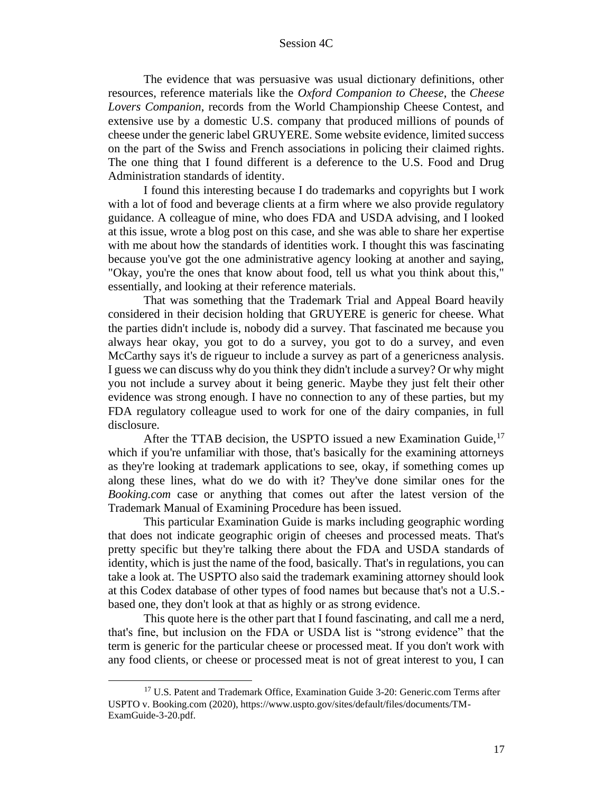The evidence that was persuasive was usual dictionary definitions, other resources, reference materials like the *Oxford Companion to Cheese*, the *Cheese Lovers Companion*, records from the World Championship Cheese Contest, and extensive use by a domestic U.S. company that produced millions of pounds of cheese under the generic label GRUYERE. Some website evidence, limited success on the part of the Swiss and French associations in policing their claimed rights. The one thing that I found different is a deference to the U.S. Food and Drug Administration standards of identity.

I found this interesting because I do trademarks and copyrights but I work with a lot of food and beverage clients at a firm where we also provide regulatory guidance. A colleague of mine, who does FDA and USDA advising, and I looked at this issue, wrote a blog post on this case, and she was able to share her expertise with me about how the standards of identities work. I thought this was fascinating because you've got the one administrative agency looking at another and saying, "Okay, you're the ones that know about food, tell us what you think about this," essentially, and looking at their reference materials.

That was something that the Trademark Trial and Appeal Board heavily considered in their decision holding that GRUYERE is generic for cheese. What the parties didn't include is, nobody did a survey. That fascinated me because you always hear okay, you got to do a survey, you got to do a survey, and even McCarthy says it's de rigueur to include a survey as part of a genericness analysis. I guess we can discuss why do you think they didn't include a survey? Or why might you not include a survey about it being generic. Maybe they just felt their other evidence was strong enough. I have no connection to any of these parties, but my FDA regulatory colleague used to work for one of the dairy companies, in full disclosure.

After the TTAB decision, the USPTO issued a new Examination Guide,<sup>17</sup> which if you're unfamiliar with those, that's basically for the examining attorneys as they're looking at trademark applications to see, okay, if something comes up along these lines, what do we do with it? They've done similar ones for the *Booking.com* case or anything that comes out after the latest version of the Trademark Manual of Examining Procedure has been issued.

This particular Examination Guide is marks including geographic wording that does not indicate geographic origin of cheeses and processed meats. That's pretty specific but they're talking there about the FDA and USDA standards of identity, which is just the name of the food, basically. That's in regulations, you can take a look at. The USPTO also said the trademark examining attorney should look at this Codex database of other types of food names but because that's not a U.S. based one, they don't look at that as highly or as strong evidence.

This quote here is the other part that I found fascinating, and call me a nerd, that's fine, but inclusion on the FDA or USDA list is "strong evidence" that the term is generic for the particular cheese or processed meat. If you don't work with any food clients, or cheese or processed meat is not of great interest to you, I can

<sup>&</sup>lt;sup>17</sup> U.S. Patent and Trademark Office, Examination Guide 3-20: Generic.com Terms after USPTO v. Booking.com (2020), https://www.uspto.gov/sites/default/files/documents/TM-ExamGuide-3-20.pdf.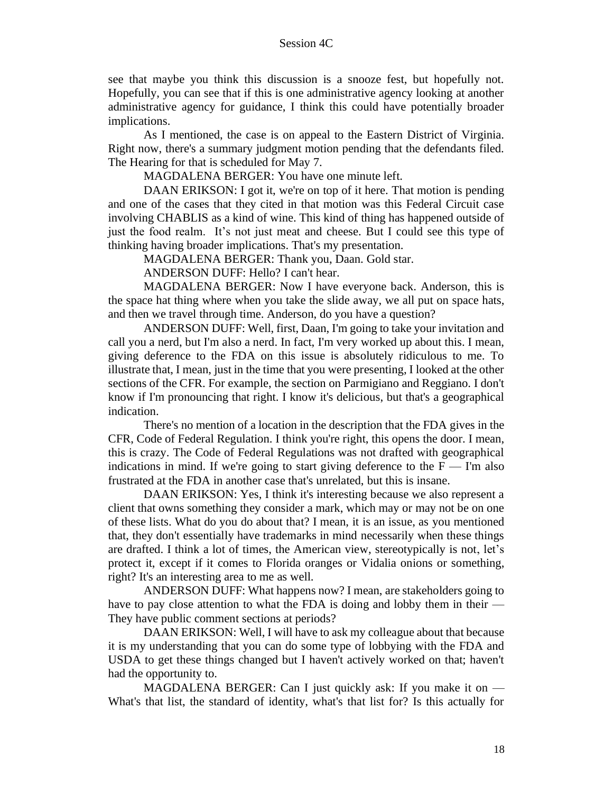see that maybe you think this discussion is a snooze fest, but hopefully not. Hopefully, you can see that if this is one administrative agency looking at another administrative agency for guidance, I think this could have potentially broader implications.

As I mentioned, the case is on appeal to the Eastern District of Virginia. Right now, there's a summary judgment motion pending that the defendants filed. The Hearing for that is scheduled for May 7.

MAGDALENA BERGER: You have one minute left.

DAAN ERIKSON: I got it, we're on top of it here. That motion is pending and one of the cases that they cited in that motion was this Federal Circuit case involving CHABLIS as a kind of wine. This kind of thing has happened outside of just the food realm. It's not just meat and cheese. But I could see this type of thinking having broader implications. That's my presentation.

MAGDALENA BERGER: Thank you, Daan. Gold star.

ANDERSON DUFF: Hello? I can't hear.

MAGDALENA BERGER: Now I have everyone back. Anderson, this is the space hat thing where when you take the slide away, we all put on space hats, and then we travel through time. Anderson, do you have a question?

ANDERSON DUFF: Well, first, Daan, I'm going to take your invitation and call you a nerd, but I'm also a nerd. In fact, I'm very worked up about this. I mean, giving deference to the FDA on this issue is absolutely ridiculous to me. To illustrate that, I mean, just in the time that you were presenting, I looked at the other sections of the CFR. For example, the section on Parmigiano and Reggiano. I don't know if I'm pronouncing that right. I know it's delicious, but that's a geographical indication.

There's no mention of a location in the description that the FDA gives in the CFR, Code of Federal Regulation. I think you're right, this opens the door. I mean, this is crazy. The Code of Federal Regulations was not drafted with geographical indications in mind. If we're going to start giving deference to the  $F - I'm$  also frustrated at the FDA in another case that's unrelated, but this is insane.

DAAN ERIKSON: Yes, I think it's interesting because we also represent a client that owns something they consider a mark, which may or may not be on one of these lists. What do you do about that? I mean, it is an issue, as you mentioned that, they don't essentially have trademarks in mind necessarily when these things are drafted. I think a lot of times, the American view, stereotypically is not, let's protect it, except if it comes to Florida oranges or Vidalia onions or something, right? It's an interesting area to me as well.

ANDERSON DUFF: What happens now? I mean, are stakeholders going to have to pay close attention to what the FDA is doing and lobby them in their — They have public comment sections at periods?

DAAN ERIKSON: Well, I will have to ask my colleague about that because it is my understanding that you can do some type of lobbying with the FDA and USDA to get these things changed but I haven't actively worked on that; haven't had the opportunity to.

MAGDALENA BERGER: Can I just quickly ask: If you make it on — What's that list, the standard of identity, what's that list for? Is this actually for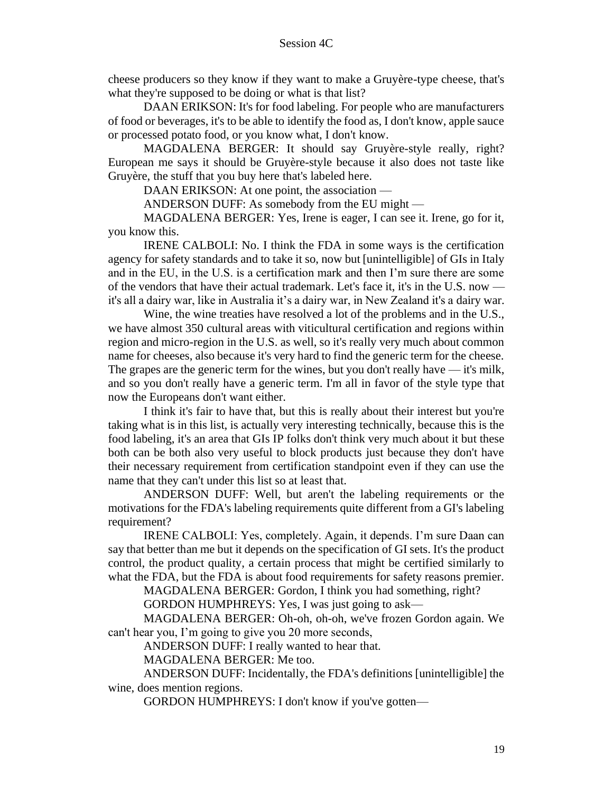cheese producers so they know if they want to make a Gruyère-type cheese, that's what they're supposed to be doing or what is that list?

DAAN ERIKSON: It's for food labeling. For people who are manufacturers of food or beverages, it's to be able to identify the food as, I don't know, apple sauce or processed potato food, or you know what, I don't know.

MAGDALENA BERGER: It should say Gruyère-style really, right? European me says it should be Gruyère-style because it also does not taste like Gruyère, the stuff that you buy here that's labeled here.

DAAN ERIKSON: At one point, the association —

ANDERSON DUFF: As somebody from the EU might —

MAGDALENA BERGER: Yes, Irene is eager, I can see it. Irene, go for it, you know this.

IRENE CALBOLI: No. I think the FDA in some ways is the certification agency for safety standards and to take it so, now but [unintelligible] of GIs in Italy and in the EU, in the U.S. is a certification mark and then I'm sure there are some of the vendors that have their actual trademark. Let's face it, it's in the U.S. now it's all a dairy war, like in Australia it's a dairy war, in New Zealand it's a dairy war.

Wine, the wine treaties have resolved a lot of the problems and in the U.S., we have almost 350 cultural areas with viticultural certification and regions within region and micro-region in the U.S. as well, so it's really very much about common name for cheeses, also because it's very hard to find the generic term for the cheese. The grapes are the generic term for the wines, but you don't really have — it's milk, and so you don't really have a generic term. I'm all in favor of the style type that now the Europeans don't want either.

I think it's fair to have that, but this is really about their interest but you're taking what is in this list, is actually very interesting technically, because this is the food labeling, it's an area that GIs IP folks don't think very much about it but these both can be both also very useful to block products just because they don't have their necessary requirement from certification standpoint even if they can use the name that they can't under this list so at least that.

ANDERSON DUFF: Well, but aren't the labeling requirements or the motivations for the FDA's labeling requirements quite different from a GI's labeling requirement?

IRENE CALBOLI: Yes, completely. Again, it depends. I'm sure Daan can say that better than me but it depends on the specification of GI sets. It's the product control, the product quality, a certain process that might be certified similarly to what the FDA, but the FDA is about food requirements for safety reasons premier.

MAGDALENA BERGER: Gordon, I think you had something, right?

GORDON HUMPHREYS: Yes, I was just going to ask—

MAGDALENA BERGER: Oh-oh, oh-oh, we've frozen Gordon again. We can't hear you, I'm going to give you 20 more seconds,

ANDERSON DUFF: I really wanted to hear that.

MAGDALENA BERGER: Me too.

ANDERSON DUFF: Incidentally, the FDA's definitions [unintelligible] the wine, does mention regions.

GORDON HUMPHREYS: I don't know if you've gotten—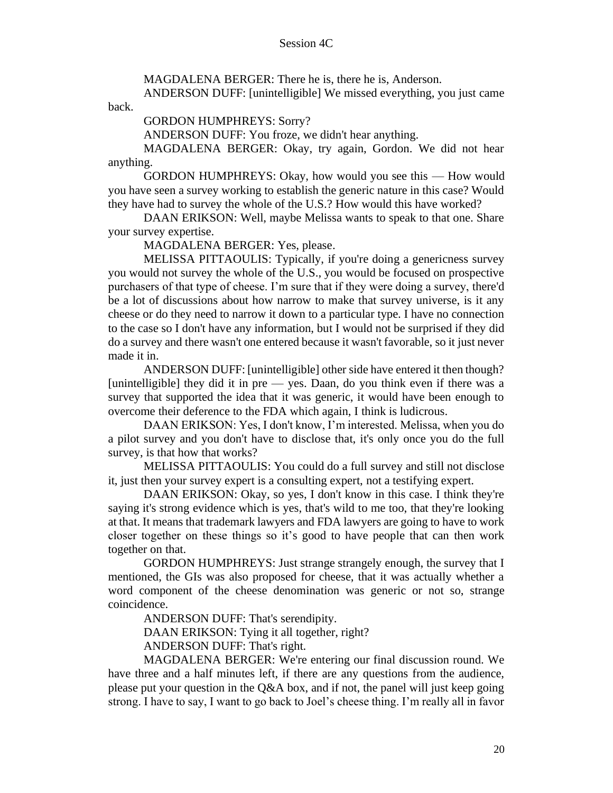MAGDALENA BERGER: There he is, there he is, Anderson.

ANDERSON DUFF: [unintelligible] We missed everything, you just came

GORDON HUMPHREYS: Sorry?

back.

ANDERSON DUFF: You froze, we didn't hear anything.

MAGDALENA BERGER: Okay, try again, Gordon. We did not hear anything.

GORDON HUMPHREYS: Okay, how would you see this — How would you have seen a survey working to establish the generic nature in this case? Would they have had to survey the whole of the U.S.? How would this have worked?

DAAN ERIKSON: Well, maybe Melissa wants to speak to that one. Share your survey expertise.

MAGDALENA BERGER: Yes, please.

MELISSA PITTAOULIS: Typically, if you're doing a genericness survey you would not survey the whole of the U.S., you would be focused on prospective purchasers of that type of cheese. I'm sure that if they were doing a survey, there'd be a lot of discussions about how narrow to make that survey universe, is it any cheese or do they need to narrow it down to a particular type. I have no connection to the case so I don't have any information, but I would not be surprised if they did do a survey and there wasn't one entered because it wasn't favorable, so it just never made it in.

ANDERSON DUFF: [unintelligible] other side have entered it then though? [unintelligible] they did it in pre — yes. Daan, do you think even if there was a survey that supported the idea that it was generic, it would have been enough to overcome their deference to the FDA which again, I think is ludicrous.

DAAN ERIKSON: Yes, I don't know, I'm interested. Melissa, when you do a pilot survey and you don't have to disclose that, it's only once you do the full survey, is that how that works?

MELISSA PITTAOULIS: You could do a full survey and still not disclose it, just then your survey expert is a consulting expert, not a testifying expert.

DAAN ERIKSON: Okay, so yes, I don't know in this case. I think they're saying it's strong evidence which is yes, that's wild to me too, that they're looking at that. It means that trademark lawyers and FDA lawyers are going to have to work closer together on these things so it's good to have people that can then work together on that.

GORDON HUMPHREYS: Just strange strangely enough, the survey that I mentioned, the GIs was also proposed for cheese, that it was actually whether a word component of the cheese denomination was generic or not so, strange coincidence.

ANDERSON DUFF: That's serendipity.

DAAN ERIKSON: Tying it all together, right?

ANDERSON DUFF: That's right.

MAGDALENA BERGER: We're entering our final discussion round. We have three and a half minutes left, if there are any questions from the audience, please put your question in the Q&A box, and if not, the panel will just keep going strong. I have to say, I want to go back to Joel's cheese thing. I'm really all in favor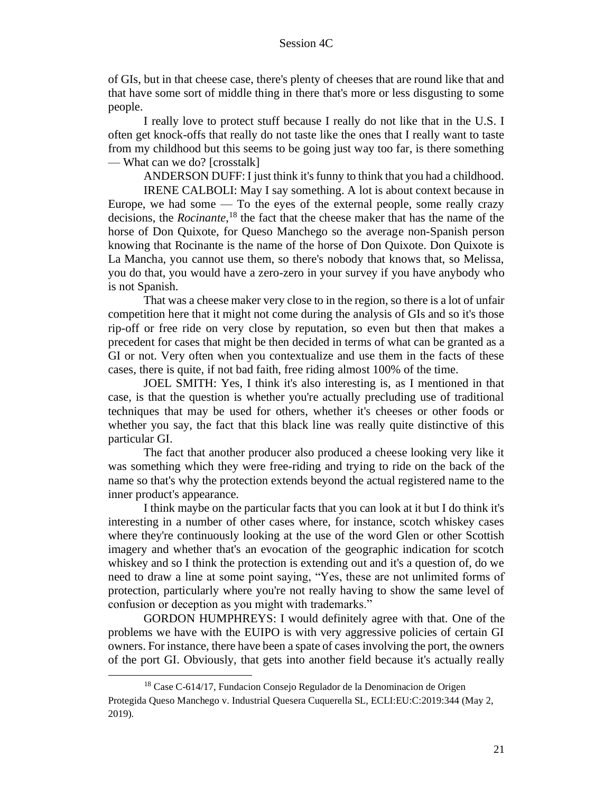of GIs, but in that cheese case, there's plenty of cheeses that are round like that and that have some sort of middle thing in there that's more or less disgusting to some people.

I really love to protect stuff because I really do not like that in the U.S. I often get knock-offs that really do not taste like the ones that I really want to taste from my childhood but this seems to be going just way too far, is there something — What can we do? [crosstalk]

ANDERSON DUFF: I just think it's funny to think that you had a childhood. IRENE CALBOLI: May I say something. A lot is about context because in Europe, we had some  $-$  To the eyes of the external people, some really crazy decisions, the *Rocinante*, <sup>18</sup> the fact that the cheese maker that has the name of the horse of Don Quixote, for Queso Manchego so the average non-Spanish person knowing that Rocinante is the name of the horse of Don Quixote. Don Quixote is La Mancha, you cannot use them, so there's nobody that knows that, so Melissa, you do that, you would have a zero-zero in your survey if you have anybody who is not Spanish.

That was a cheese maker very close to in the region, so there is a lot of unfair competition here that it might not come during the analysis of GIs and so it's those rip-off or free ride on very close by reputation, so even but then that makes a precedent for cases that might be then decided in terms of what can be granted as a GI or not. Very often when you contextualize and use them in the facts of these cases, there is quite, if not bad faith, free riding almost 100% of the time.

JOEL SMITH: Yes, I think it's also interesting is, as I mentioned in that case, is that the question is whether you're actually precluding use of traditional techniques that may be used for others, whether it's cheeses or other foods or whether you say, the fact that this black line was really quite distinctive of this particular GI.

The fact that another producer also produced a cheese looking very like it was something which they were free-riding and trying to ride on the back of the name so that's why the protection extends beyond the actual registered name to the inner product's appearance.

I think maybe on the particular facts that you can look at it but I do think it's interesting in a number of other cases where, for instance, scotch whiskey cases where they're continuously looking at the use of the word Glen or other Scottish imagery and whether that's an evocation of the geographic indication for scotch whiskey and so I think the protection is extending out and it's a question of, do we need to draw a line at some point saying, "Yes, these are not unlimited forms of protection, particularly where you're not really having to show the same level of confusion or deception as you might with trademarks."

GORDON HUMPHREYS: I would definitely agree with that. One of the problems we have with the EUIPO is with very aggressive policies of certain GI owners. For instance, there have been a spate of cases involving the port, the owners of the port GI. Obviously, that gets into another field because it's actually really

<sup>18</sup> Case C-614/17, Fundacion Consejo Regulador de la Denominacion de Origen Protegida Queso Manchego v. Industrial Quesera Cuquerella SL, ECLI:EU:C:2019:344 (May 2, 2019).